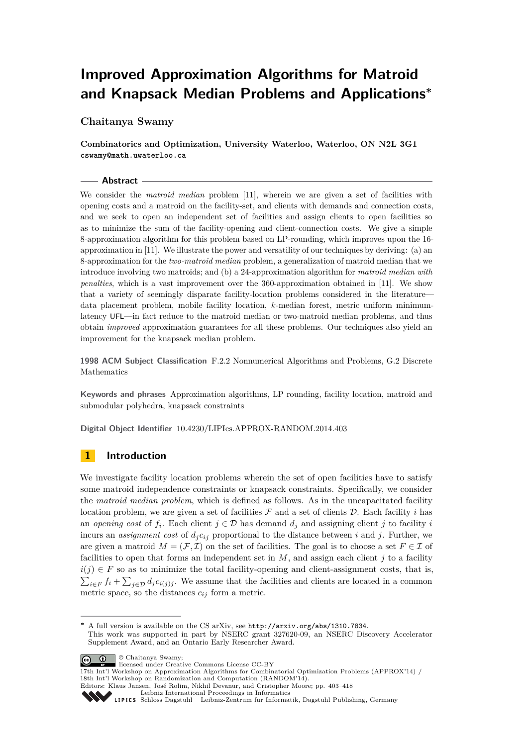# **Improved Approximation Algorithms for Matroid and Knapsack Median Problems and Applications<sup>∗</sup>**

# **Chaitanya Swamy**

**Combinatorics and Optimization, University Waterloo, Waterloo, ON N2L 3G1 cswamy@math.uwaterloo.ca**

### **Abstract**

We consider the *matroid median* problem [\[11\]](#page-15-0), wherein we are given a set of facilities with opening costs and a matroid on the facility-set, and clients with demands and connection costs, and we seek to open an independent set of facilities and assign clients to open facilities so as to minimize the sum of the facility-opening and client-connection costs. We give a simple 8-approximation algorithm for this problem based on LP-rounding, which improves upon the 16 approximation in [\[11\]](#page-15-0). We illustrate the power and versatility of our techniques by deriving: (a) an 8-approximation for the *two-matroid median* problem, a generalization of matroid median that we introduce involving two matroids; and (b) a 24-approximation algorithm for *matroid median with penalties*, which is a vast improvement over the 360-approximation obtained in [\[11\]](#page-15-0). We show that a variety of seemingly disparate facility-location problems considered in the literature data placement problem, mobile facility location, *k*-median forest, metric uniform minimumlatency UFL—in fact reduce to the matroid median or two-matroid median problems, and thus obtain *improved* approximation guarantees for all these problems. Our techniques also yield an improvement for the knapsack median problem.

**1998 ACM Subject Classification** F.2.2 Nonnumerical Algorithms and Problems, G.2 Discrete Mathematics

**Keywords and phrases** Approximation algorithms, LP rounding, facility location, matroid and submodular polyhedra, knapsack constraints

**Digital Object Identifier** [10.4230/LIPIcs.APPROX-RANDOM.2014.403](http://dx.doi.org/10.4230/LIPIcs.APPROX-RANDOM.2014.403)

# **1 Introduction**

We investigate facility location problems wherein the set of open facilities have to satisfy some matroid independence constraints or knapsack constraints. Specifically, we consider the *matroid median problem*, which is defined as follows. As in the uncapacitated facility location problem, we are given a set of facilities  $\mathcal F$  and a set of clients  $\mathcal D$ . Each facility *i* has an *opening cost* of  $f_i$ . Each client  $j \in \mathcal{D}$  has demand  $d_j$  and assigning client  $j$  to facility  $i$ incurs an *assignment cost* of  $d_j c_{ij}$  proportional to the distance between *i* and *j*. Further, we are given a matroid  $M = (\mathcal{F}, \mathcal{I})$  on the set of facilities. The goal is to choose a set  $F \in \mathcal{I}$  of facilities to open that forms an independent set in  $M$ , and assign each client  $j$  to a facility  $i(j) \in F$  so as to minimize the total facility-opening and client-assignment costs, that is,  $\sum_{i\in F} f_i + \sum_{j\in\mathcal{D}} d_j c_{i(j)j}$ . We assume that the facilities and clients are located in a common metric space, so the distances  $c_{ij}$  form a metric.

Supplement Award, and an Ontario Early Researcher Award.

© Chaitanya Swamy;  $\boxed{6}$  0

**<sup>∗</sup>** A full version is available on the CS arXiv, see <http://arxiv.org/abs/1310.7834>. This work was supported in part by NSERC grant 327620-09, an NSERC Discovery Accelerator

licensed under Creative Commons License CC-BY

<sup>17</sup>th Int'l Workshop on Approximation Algorithms for Combinatorial Optimization Problems (APPROX'14) / 18th Int'l Workshop on Randomization and Computation (RANDOM'14). Editors: Klaus Jansen, José Rolim, Nikhil Devanur, and Cristopher Moore; pp. 403[–418](#page-15-1)

[Leibniz International Proceedings in Informatics](http://www.dagstuhl.de/lipics/)

[Schloss Dagstuhl – Leibniz-Zentrum für Informatik, Dagstuhl Publishing, Germany](http://www.dagstuhl.de)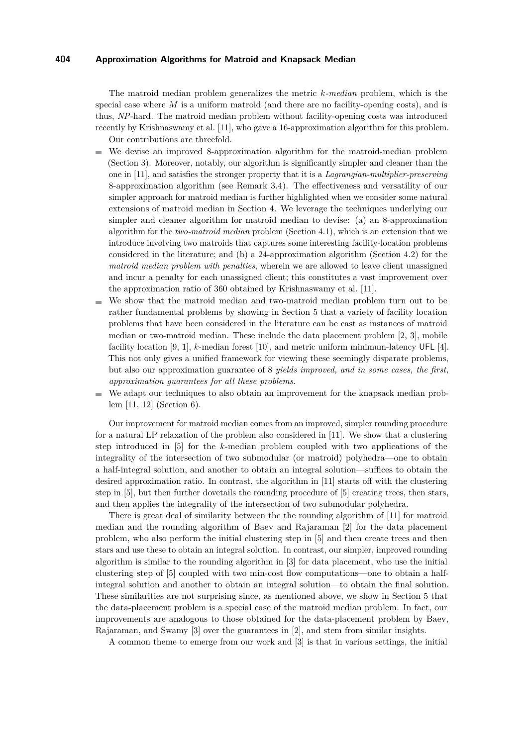The matroid median problem generalizes the metric *k-median* problem, which is the special case where *M* is a uniform matroid (and there are no facility-opening costs), and is thus, *NP*-hard. The matroid median problem without facility-opening costs was introduced recently by Krishnaswamy et al. [\[11\]](#page-15-0), who gave a 16-approximation algorithm for this problem. Our contributions are threefold.

- We devise an improved 8-approximation algorithm for the matroid-median problem m. (Section [3\)](#page-2-0). Moreover, notably, our algorithm is significantly simpler and cleaner than the one in [\[11\]](#page-15-0), and satisfies the stronger property that it is a *Lagrangian-multiplier-preserving* 8-approximation algorithm (see Remark [3.4\)](#page-7-0). The effectiveness and versatility of our simpler approach for matroid median is further highlighted when we consider some natural extensions of matroid median in Section [4.](#page-8-0) We leverage the techniques underlying our simpler and cleaner algorithm for matroid median to devise: (a) an 8-approximation algorithm for the *two-matroid median* problem (Section [4.1\)](#page-8-1), which is an extension that we introduce involving two matroids that captures some interesting facility-location problems considered in the literature; and (b) a 24-approximation algorithm (Section [4.2\)](#page-10-0) for the *matroid median problem with penalties*, wherein we are allowed to leave client unassigned and incur a penalty for each unassigned client; this constitutes a vast improvement over the approximation ratio of 360 obtained by Krishnaswamy et al. [\[11\]](#page-15-0).
- We show that the matroid median and two-matroid median problem turn out to be m. rather fundamental problems by showing in Section [5](#page-10-1) that a variety of facility location problems that have been considered in the literature can be cast as instances of matroid median or two-matroid median. These include the data placement problem [\[2,](#page-15-2) [3\]](#page-15-3), mobile facility location [\[9,](#page-15-4) [1\]](#page-15-5), *k*-median forest [\[10\]](#page-15-6), and metric uniform minimum-latency UFL [\[4\]](#page-15-7). This not only gives a unified framework for viewing these seemingly disparate problems, but also our approximation guarantee of 8 *yields improved, and in some cases, the first, approximation guarantees for all these problems*.
- We adapt our techniques to also obtain an improvement for the knapsack median problem [\[11,](#page-15-0) [12\]](#page-15-8) (Section [6\)](#page-11-0).

Our improvement for matroid median comes from an improved, simpler rounding procedure for a natural LP relaxation of the problem also considered in [\[11\]](#page-15-0). We show that a clustering step introduced in [\[5\]](#page-15-9) for the *k*-median problem coupled with two applications of the integrality of the intersection of two submodular (or matroid) polyhedra—one to obtain a half-integral solution, and another to obtain an integral solution—suffices to obtain the desired approximation ratio. In contrast, the algorithm in [\[11\]](#page-15-0) starts off with the clustering step in [\[5\]](#page-15-9), but then further dovetails the rounding procedure of [\[5\]](#page-15-9) creating trees, then stars, and then applies the integrality of the intersection of two submodular polyhedra.

There is great deal of similarity between the the rounding algorithm of [\[11\]](#page-15-0) for matroid median and the rounding algorithm of Baev and Rajaraman [\[2\]](#page-15-2) for the data placement problem, who also perform the initial clustering step in [\[5\]](#page-15-9) and then create trees and then stars and use these to obtain an integral solution. In contrast, our simpler, improved rounding algorithm is similar to the rounding algorithm in [\[3\]](#page-15-3) for data placement, who use the initial clustering step of [\[5\]](#page-15-9) coupled with two min-cost flow computations—one to obtain a halfintegral solution and another to obtain an integral solution—to obtain the final solution. These similarities are not surprising since, as mentioned above, we show in Section [5](#page-10-1) that the data-placement problem is a special case of the matroid median problem. In fact, our improvements are analogous to those obtained for the data-placement problem by Baev, Rajaraman, and Swamy [\[3\]](#page-15-3) over the guarantees in [\[2\]](#page-15-2), and stem from similar insights.

A common theme to emerge from our work and [\[3\]](#page-15-3) is that in various settings, the initial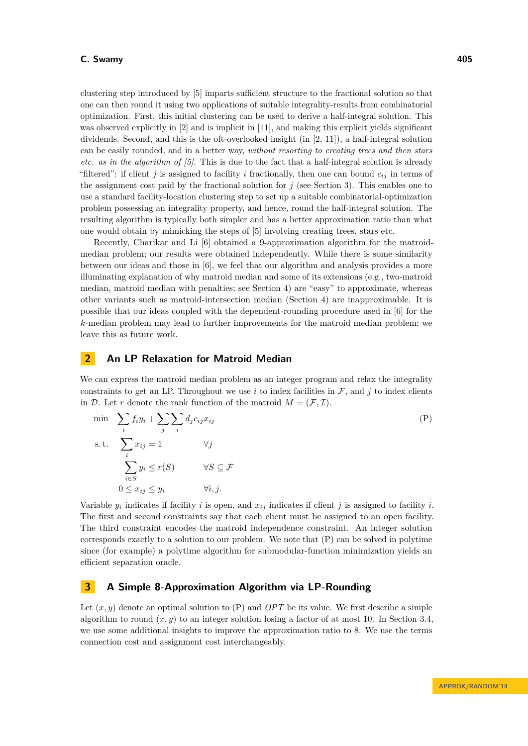clustering step introduced by [\[5\]](#page-15-9) imparts sufficient structure to the fractional solution so that one can then round it using two applications of suitable integrality-results from combinatorial optimization. First, this initial clustering can be used to derive a half-integral solution. This was observed explicitly in [\[2\]](#page-15-2) and is implicit in [\[11\]](#page-15-0), and making this explicit yields significant dividends. Second, and this is the oft-overlooked insight (in [\[2,](#page-15-2) [11\]](#page-15-0)), a half-integral solution can be easily rounded, and in a better way, *without resorting to creating trees and then stars etc. as in the algorithm of [\[5\]](#page-15-9)*. This is due to the fact that a half-integral solution is already "filtered": if client *j* is assigned to facility *i* fractionally, then one can bound  $c_{ij}$  in terms of the assignment cost paid by the fractional solution for *j* (see Section [3\)](#page-2-0). This enables one to use a standard facility-location clustering step to set up a suitable combinatorial-optimization problem possessing an integrality property, and hence, round the half-integral solution. The resulting algorithm is typically both simpler and has a better approximation ratio than what one would obtain by mimicking the steps of [\[5\]](#page-15-9) involving creating trees, stars etc.

Recently, Charikar and Li [\[6\]](#page-15-10) obtained a 9-approximation algorithm for the matroidmedian problem; our results were obtained independently. While there is some similarity between our ideas and those in [\[6\]](#page-15-10), we feel that our algorithm and analysis provides a more illuminating explanation of why matroid median and some of its extensions (e.g., two-matroid median, matroid median with penalties; see Section [4\)](#page-8-0) are "easy" to approximate, whereas other variants such as matroid-intersection median (Section [4\)](#page-8-0) are inapproximable. It is possible that our ideas coupled with the dependent-rounding procedure used in [\[6\]](#page-15-10) for the *k*-median problem may lead to further improvements for the matroid median problem; we leave this as future work.

# **2 An LP Relaxation for Matroid Median**

We can express the matroid median problem as an integer program and relax the integrality constraints to get an LP. Throughout we use  $i$  to index facilities in  $\mathcal{F}$ , and  $j$  to index clients in D. Let r denote the rank function of the matroid  $M = (\mathcal{F}, \mathcal{I})$ .

<span id="page-2-1"></span>min 
$$
\sum_{i} f_i y_i + \sum_{j} \sum_{i} d_j c_{ij} x_{ij}
$$
  
s.t. 
$$
\sum_{i} x_{ij} = 1 \qquad \forall j
$$

$$
\sum_{i \in S} y_i \le r(S) \qquad \forall S \subseteq \mathcal{F}
$$

$$
0 \le x_{ij} \le y_i \qquad \forall i, j.
$$

$$
(P)
$$

Variable  $y_i$  indicates if facility *i* is open, and  $x_{ij}$  indicates if client *j* is assigned to facility *i*. The first and second constraints say that each client must be assigned to an open facility. The third constraint encodes the matroid independence constraint. An integer solution corresponds exactly to a solution to our problem. We note that [\(P\)](#page-2-1) can be solved in polytime since (for example) a polytime algorithm for submodular-function minimization yields an efficient separation oracle.

# <span id="page-2-0"></span>**3 A Simple 8-Approximation Algorithm via LP-Rounding**

Let  $(x, y)$  denote an optimal solution to  $(P)$  and  $OPT$  be its value. We first describe a simple algorithm to round  $(x, y)$  to an integer solution losing a factor of at most 10. In Section [3.4,](#page-5-0) we use some additional insights to improve the approximation ratio to 8. We use the terms connection cost and assignment cost interchangeably.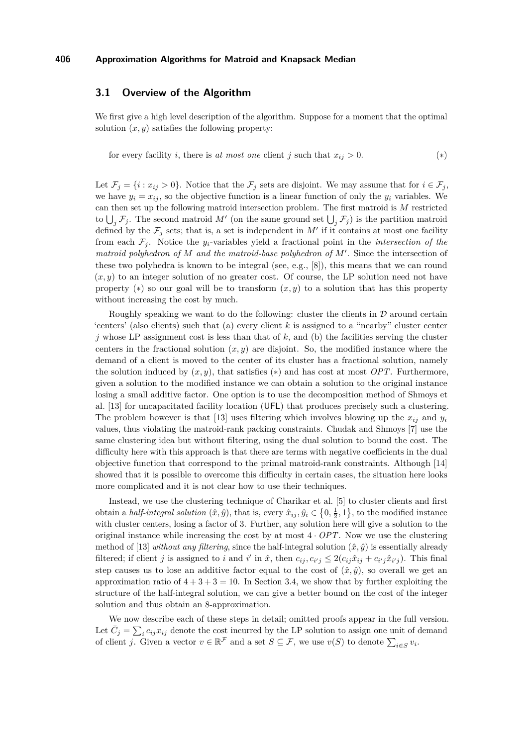# **3.1 Overview of the Algorithm**

We first give a high level description of the algorithm. Suppose for a moment that the optimal solution  $(x, y)$  satisfies the following property:

<span id="page-3-1"></span><span id="page-3-0"></span>for every facility *i*, there is *at most one* client *j* such that  $x_{ij} > 0$ . (\*)

Let  $\mathcal{F}_j = \{i : x_{ij} > 0\}$ . Notice that the  $\mathcal{F}_j$  sets are disjoint. We may assume that for  $i \in \mathcal{F}_j$ , we have  $y_i = x_{ij}$ , so the objective function is a linear function of only the  $y_i$  variables. We can then set up the following matroid intersection problem. The first matroid is *M* restricted to  $\bigcup_j \mathcal{F}_j$ . The second matroid M' (on the same ground set  $\bigcup_j \mathcal{F}_j$ ) is the partition matroid defined by the  $\mathcal{F}_j$  sets; that is, a set is independent in  $M'$  if it contains at most one facility from each  $\mathcal{F}_i$ . Notice the *y<sub>i</sub>*-variables yield a fractional point in the *intersection of the matroid polyhedron of*  $M$  *and the matroid-base polyhedron of*  $M'$ . Since the intersection of these two polyhedra is known to be integral (see, e.g., [\[8\]](#page-15-11)), this means that we can round  $(x, y)$  to an integer solution of no greater cost. Of course, the LP solution need not have property  $(*)$  so our goal will be to transform  $(x, y)$  to a solution that has this property without increasing the cost by much.

Roughly speaking we want to do the following: cluster the clients in  $\mathcal D$  around certain 'centers' (also clients) such that (a) every client *k* is assigned to a "nearby" cluster center  $j$  whose LP assignment cost is less than that of  $k$ , and (b) the facilities serving the cluster centers in the fractional solution  $(x, y)$  are disjoint. So, the modified instance where the demand of a client is moved to the center of its cluster has a fractional solution, namely the solution induced by  $(x, y)$ , that satisfies  $(*)$  and has cost at most *OPT*. Furthermore, given a solution to the modified instance we can obtain a solution to the original instance losing a small additive factor. One option is to use the decomposition method of Shmoys et al. [\[13\]](#page-15-12) for uncapacitated facility location (UFL) that produces precisely such a clustering. The problem however is that [\[13\]](#page-15-12) uses filtering which involves blowing up the  $x_{ij}$  and  $y_i$ values, thus violating the matroid-rank packing constraints. Chudak and Shmoys [\[7\]](#page-15-13) use the same clustering idea but without filtering, using the dual solution to bound the cost. The difficulty here with this approach is that there are terms with negative coefficients in the dual objective function that correspond to the primal matroid-rank constraints. Although [\[14\]](#page-15-14) showed that it is possible to overcome this difficulty in certain cases, the situation here looks more complicated and it is not clear how to use their techniques.

Instead, we use the clustering technique of Charikar et al. [\[5\]](#page-15-9) to cluster clients and first obtain a *half-integral solution*  $(\hat{x}, \hat{y})$ , that is, every  $\hat{x}_{ij}, \hat{y}_i \in \{0, \frac{1}{2}, 1\}$ , to the modified instance with cluster centers, losing a factor of 3. Further, any solution here will give a solution to the original instance while increasing the cost by at most  $4 \cdot OPT$ . Now we use the clustering method of [\[13\]](#page-15-12) *without any filtering*, since the half-integral solution  $(\hat{x}, \hat{y})$  is essentially already filtered; if client j is assigned to i and i' in  $\hat{x}$ , then  $c_{ij}, c_{i'j} \leq 2(c_{ij}\hat{x}_{ij} + c_{i'j}\hat{x}_{i'j})$ . This final step causes us to lose an additive factor equal to the cost of  $(\hat{x}, \hat{y})$ , so overall we get an approximation ratio of  $4 + 3 + 3 = 10$ . In Section [3.4,](#page-5-0) we show that by further exploiting the structure of the half-integral solution, we can give a better bound on the cost of the integer solution and thus obtain an 8-approximation.

We now describe each of these steps in detail; omitted proofs appear in the full version. Let  $\bar{C}_j = \sum_i c_{ij} x_{ij}$  denote the cost incurred by the LP solution to assign one unit of demand of client *j*. Given a vector  $v \in \mathbb{R}^{\mathcal{F}}$  and a set  $S \subseteq \mathcal{F}$ , we use  $v(S)$  to denote  $\sum_{i \in S} v_i$ .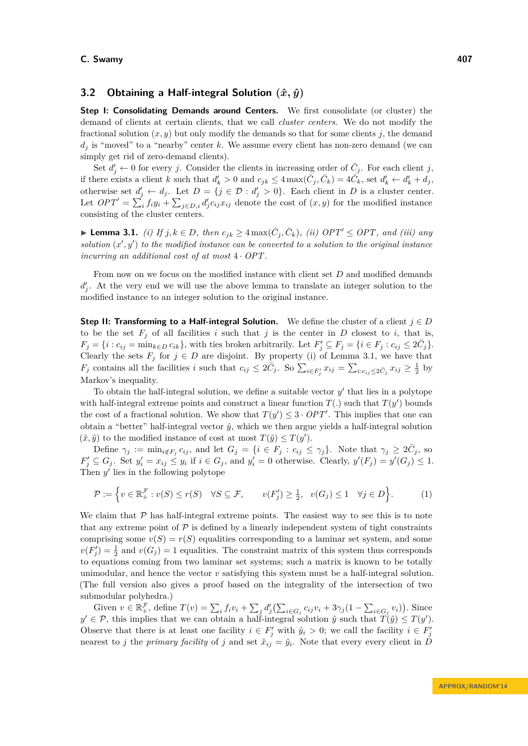# <span id="page-4-1"></span>**3.2 Obtaining a Half-integral Solution (ˆ***x, y***ˆ)**

**Step I: Consolidating Demands around Centers.** We first consolidate (or cluster) the demand of clients at certain clients, that we call *cluster centers*. We do not modify the fractional solution  $(x, y)$  but only modify the demands so that for some clients *j*, the demand  $d_i$  is "moved" to a "nearby" center  $k$ . We assume every client has non-zero demand (we can simply get rid of zero-demand clients).

Set  $d'_{j} \leftarrow 0$  for every *j*. Consider the clients in increasing order of  $\bar{C}_{j}$ . For each client *j*, if there exists a client k such that  $d'_k > 0$  and  $c_{jk} \leq 4 \max(\bar{C}_j, \bar{C}_k) = 4 \bar{C}_k$ , set  $d'_k \leftarrow d'_k + d_j$ , otherwise set  $d'_{j} \leftarrow d_{j}$ . Let  $D = \{j \in \mathcal{D} : d'_{j} > 0\}$ . Each client in *D* is a cluster center. Let  $OPT' = \sum_i f_i y_i + \sum_{j \in D,i} d'_j c_{ij} x_{ij}$  denote the cost of  $(x, y)$  for the modified instance consisting of the cluster centers.

<span id="page-4-0"></span>▶ **Lemma 3.1.** *(i)* If  $j, k \in D$ , then  $c_{jk} \geq 4 \max(\bar{C}_j, \bar{C}_k)$ , *(ii)*  $OPT' \leq OPT$ , and *(iii)* any solution  $(x', y')$  to the modified instance can be converted to a solution to the original instance *incurring an additional cost of at most* 4 · *OPT.*

From now on we focus on the modified instance with client set *D* and modified demands  $d'_{j}$ . At the very end we will use the above lemma to translate an integer solution to the modified instance to an integer solution to the original instance.

**Step II: Transforming to a Half-integral Solution.** We define the cluster of a client  $j \in D$ to be the set  $F_j$  of all facilities *i* such that *j* is the center in *D* closest to *i*, that is,  $F_j = \{i : c_{ij} = \min_{k \in D} c_{ik}\}\$ , with ties broken arbitrarily. Let  $F'_j \subseteq F_j = \{i \in F_j : c_{ij} \le 2\overline{C}_j\}\$ . Clearly the sets  $F_j$  for  $j \in D$  are disjoint. By property (i) of Lemma [3.1,](#page-4-0) we have that  $F_j$  contains all the facilities i such that  $c_{ij} \leq 2\bar{C}_j$ . So  $\sum_{i \in F'_j} x_{ij} = \sum_{i:c_{ij} \leq 2\bar{C}_j} x_{ij} \geq \frac{1}{2}$  by Markov's inequality.

To obtain the half-integral solution, we define a suitable vector  $y'$  that lies in a polytope with half-integral extreme points and construct a linear function  $T(.)$  such that  $T(y')$  bounds the cost of a fractional solution. We show that  $T(y') \leq 3 \cdot OPT'$ . This implies that one can obtain a "better" half-integral vector  $\hat{y}$ , which we then argue yields a half-integral solution  $(\hat{x}, \hat{y})$  to the modified instance of cost at most  $T(\hat{y}) \leq T(y')$ .

Define  $\gamma_j := \min_{i \notin F_j} c_{ij}$ , and let  $G_j = \{i \in F_j : c_{ij} \leq \gamma_j\}$ . Note that  $\gamma_j \geq 2\overline{C}_j$ , so  $F'_j \subseteq G_j$ . Set  $y'_i = x_{ij} \leq y_i$  if  $i \in G_j$ , and  $y'_i = 0$  otherwise. Clearly,  $y'(F_j) = y'(G_j) \leq 1$ . Then  $y'$  lies in the following polytope

$$
\mathcal{P} := \left\{ v \in \mathbb{R}_+^{\mathcal{F}} : v(S) \le r(S) \quad \forall S \subseteq \mathcal{F}, \qquad v(F'_j) \ge \frac{1}{2}, \quad v(G_j) \le 1 \quad \forall j \in D \right\}.
$$
 (1)

We claim that  $P$  has half-integral extreme points. The easiest way to see this is to note that any extreme point of  $P$  is defined by a linearly independent system of tight constraints comprising some  $v(S) = r(S)$  equalities corresponding to a laminar set system, and some  $v(F'_j) = \frac{1}{2}$  and  $v(G_j) = 1$  equalities. The constraint matrix of this system thus corresponds to equations coming from two laminar set systems; such a matrix is known to be totally unimodular, and hence the vector *v* satisfying this system must be a half-integral solution. (The full version also gives a proof based on the integrality of the intersection of two submodular polyhedra.)

Given  $v \in \mathbb{R}_{+}^{\mathcal{F}}$ , define  $T(v) = \sum_{i} f_i v_i + \sum_{j} d'_j (\sum_{i \in G_j} c_{ij} v_i + 3\gamma_j (1 - \sum_{i \in G_j} v_i)).$  Since  $y' \in \mathcal{P}$ , this implies that we can obtain a half-integral solution  $\hat{y}$  such that  $T(\hat{y}) \leq T(y')$ . Observe that there is at least one facility  $i \in F'_j$  with  $\hat{y}_i > 0$ ; we call the facility  $i \in F'_j$ nearest to *j* the *primary facility* of *j* and set  $\hat{x}_{ij} = \hat{y}_i$ . Note that every every client in *D*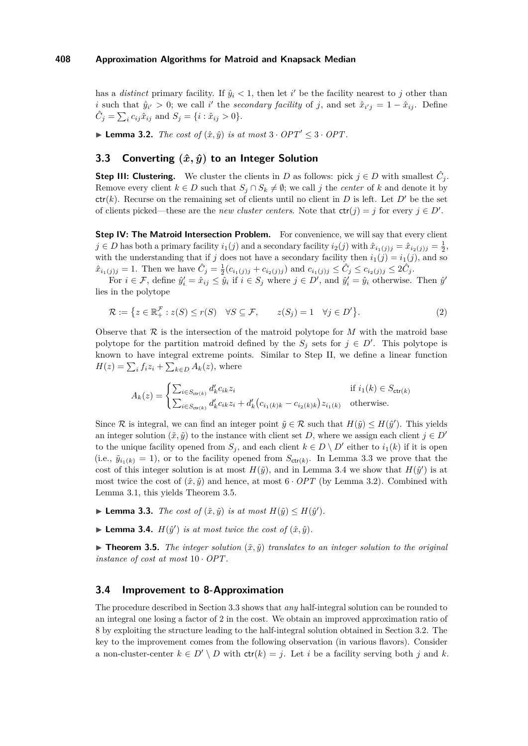has a *distinct* primary facility. If  $\hat{y}_i < 1$ , then let *i*' be the facility nearest to *j* other than *i* such that  $\hat{y}_{i'} > 0$ ; we call *i*' the *secondary facility* of *j*, and set  $\hat{x}_{i'j} = 1 - \hat{x}_{ij}$ . Define  $\hat{C}_j = \sum_i c_{ij}\hat{x}_{ij}$  and  $S_j = \{i : \hat{x}_{ij} > 0\}.$ 

<span id="page-5-3"></span>▶ **Lemma 3.2.** *The cost of*  $(\hat{x}, \hat{y})$  *is at most*  $3 \cdot OPT' \leq 3 \cdot OPT$ .

# <span id="page-5-5"></span>**3.3** Converting  $(\hat{x}, \hat{y})$  to an Integer Solution

**Step III: Clustering.** We cluster the clients in *D* as follows: pick  $j \in D$  with smallest  $\hat{C}_j$ . Remove every client  $k \in D$  such that  $S_j \cap S_k \neq \emptyset$ ; we call *j* the *center* of *k* and denote it by  $ctr(k)$ . Recurse on the remaining set of clients until no client in *D* is left. Let *D'* be the set of clients picked—these are the *new cluster centers*. Note that  $ctr(j) = j$  for every  $j \in D'$ .

**Step IV: The Matroid Intersection Problem.** For convenience, we will say that every client  $j \in D$  has both a primary facility  $i_1(j)$  and a secondary facility  $i_2(j)$  with  $\hat{x}_{i_1(j)j} = \hat{x}_{i_2(j)j} = \frac{1}{2}$ , with the understanding that if *j* does not have a secondary facility then  $i_1(j) = i_1(j)$ , and so  $\hat{x}_{i_1(j)j} = 1$ . Then we have  $\hat{C}_j = \frac{1}{2} (c_{i_1(j)j} + c_{i_2(j)j})$  and  $c_{i_1(j)j} \leq \hat{C}_j \leq c_{i_2(j)j} \leq 2\hat{C}_j$ .

For  $i \in \mathcal{F}$ , define  $\hat{y}'_i = \hat{x}_{ij} \leq \hat{y}_i$  if  $i \in S_j$  where  $j \in D'$ , and  $\hat{y}'_i = \hat{y}_i$  otherwise. Then  $\hat{y}'$ lies in the polytope

<span id="page-5-6"></span>
$$
\mathcal{R} := \left\{ z \in \mathbb{R}_+^{\mathcal{F}} : z(S) \le r(S) \quad \forall S \subseteq \mathcal{F}, \qquad z(S_j) = 1 \quad \forall j \in D' \right\}.
$$
 (2)

Observe that  $\mathcal R$  is the intersection of the matroid polytope for  $M$  with the matroid base polytope for the partition matroid defined by the  $S_j$  sets for  $j \in D'$ . This polytope is known to have integral extreme points. Similar to Step II, we define a linear function  $H(z) = \sum_i f_i z_i + \sum_{k \in D} A_k(z)$ , where

$$
A_k(z) = \begin{cases} \sum_{i \in S_{\text{ctr}(k)}} d'_k c_{ik} z_i & \text{if } i_1(k) \in S_{\text{ctr}(k)} \\ \sum_{i \in S_{\text{ctr}(k)}} d'_k c_{ik} z_i + d'_k (c_{i_1(k)k} - c_{i_2(k)k}) z_{i_1(k)} & \text{otherwise.} \end{cases}
$$

Since R is integral, we can find an integer point  $\tilde{y} \in \mathcal{R}$  such that  $H(\tilde{y}) \leq H(\hat{y}')$ . This yields an integer solution  $(\tilde{x}, \tilde{y})$  to the instance with client set *D*, where we assign each client  $j \in D'$ to the unique facility opened from  $S_j$ , and each client  $k \in D \setminus D'$  either to  $i_1(k)$  if it is open (i.e.,  $\tilde{y}_{i_1(k)} = 1$ ), or to the facility opened from  $S_{\text{ctr}(k)}$ . In Lemma [3.3](#page-5-1) we prove that the cost of this integer solution is at most  $H(\tilde{y})$ , and in Lemma [3.4](#page-5-2) we show that  $H(\hat{y}')$  is at most twice the cost of  $(\hat{x}, \hat{y})$  and hence, at most  $6 \cdot OPT$  (by Lemma [3.2\)](#page-5-3). Combined with Lemma [3.1,](#page-4-0) this yields Theorem [3.5.](#page-5-4)

- <span id="page-5-1"></span>**I Lemma 3.3.** *The cost of*  $(\tilde{x}, \tilde{y})$  *is at most*  $H(\tilde{y}) \leq H(\hat{y}')$ *.*
- <span id="page-5-2"></span>**Lemma 3.4.**  $H(\hat{y}')$  is at most twice the cost of  $(\hat{x}, \hat{y})$ .

<span id="page-5-4"></span> $\triangleright$  **Theorem 3.5.** *The integer solution*  $(\tilde{x}, \tilde{y})$  *translates to an integer solution to the original instance of cost at most* 10 · *OPT.*

### <span id="page-5-0"></span>**3.4 Improvement to 8-Approximation**

The procedure described in Section [3.3](#page-5-5) shows that *any* half-integral solution can be rounded to an integral one losing a factor of 2 in the cost. We obtain an improved approximation ratio of 8 by exploiting the structure leading to the half-integral solution obtained in Section [3.2.](#page-4-1) The key to the improvement comes from the following observation (in various flavors). Consider a non-cluster-center  $k \in D' \setminus D$  with  $\text{ctr}(k) = j$ . Let *i* be a facility serving both *j* and *k*.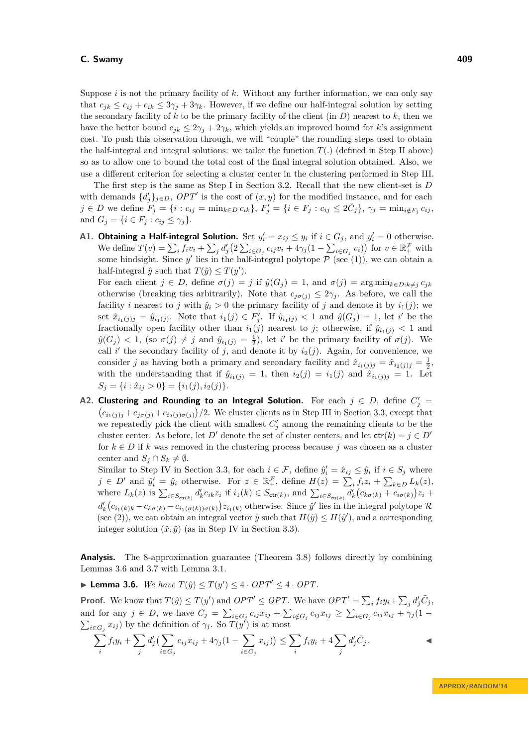Suppose  $i$  is not the primary facility of  $k$ . Without any further information, we can only say that  $c_{ik} \leq c_{ij} + c_{ik} \leq 3\gamma_j + 3\gamma_k$ . However, if we define our half-integral solution by setting the secondary facility of *k* to be the primary facility of the client (in *D*) nearest to *k*, then we have the better bound  $c_{jk} \leq 2\gamma_j + 2\gamma_k$ , which yields an improved bound for *k*'s assignment cost. To push this observation through, we will "couple" the rounding steps used to obtain the half-integral and integral solutions: we tailor the function  $T(.)$  (defined in Step II above) so as to allow one to bound the total cost of the final integral solution obtained. Also, we use a different criterion for selecting a cluster center in the clustering performed in Step III.

The first step is the same as Step I in Section [3.2.](#page-4-1) Recall that the new client-set is *D* with demands  $\{d'_{j}\}_{j\in D}$ ,  $OPT'$  is the cost of  $(x, y)$  for the modified instance, and for each  $j \in D$  we define  $F_j = \{i : c_{ij} = \min_{k \in D} c_{ik}\}, F'_j = \{i \in F_j : c_{ij} \leq 2\bar{C}_j\}, \gamma_j = \min_{i \notin F_j} c_{ij},$ and  $G_i = \{i \in F_i : c_{ij} \leq \gamma_i\}.$ 

**A1. Obtaining a Half-integral Solution.** Set  $y'_i = x_{ij} \leq y_i$  if  $i \in G_j$ , and  $y'_i = 0$  otherwise. We define  $T(v) = \sum_i f_i v_i + \sum_j d'_j (2 \sum_{i \in G_j} c_{ij} v_i + 4\gamma_j (1 - \sum_{i \in G_j} v_i))$  for  $v \in \mathbb{R}_+^{\mathcal{F}}$  with some hindsight. Since y' lies in the half-integral polytope  $P$  (see [\(1\)](#page-3-1)), we can obtain a half-integral  $\hat{y}$  such that  $T(\hat{y}) \leq T(y')$ .

For each client  $j \in D$ , define  $\sigma(j) = j$  if  $\hat{y}(G_j) = 1$ , and  $\sigma(j) = \arg \min_{k \in D: k \neq j} c_{jk}$ otherwise (breaking ties arbitrarily). Note that  $c_{j\sigma(j)} \leq 2\gamma_j$ . As before, we call the facility *i* nearest to *j* with  $\hat{y}_i > 0$  the primary facility of *j* and denote it by  $i_1(j)$ ; we set  $\hat{x}_{i_1(j)j} = \hat{y}_{i_1(j)}$ . Note that  $i_1(j) \in F'_j$ . If  $\hat{y}_{i_1(j)} < 1$  and  $\hat{y}(G_j) = 1$ , let i' be the fractionally open facility other than  $i_1(j)$  nearest to *j*; otherwise, if  $\hat{y}_{i_1(j)} < 1$  and  $\hat{y}(G_j) < 1$ , (so  $\sigma(j) \neq j$  and  $\hat{y}_{i_1(j)} = \frac{1}{2}$ ), let *i*' be the primary facility of  $\sigma(j)$ . We call  $i'$  the secondary facility of *j*, and denote it by  $i_2(j)$ . Again, for convenience, we consider *j* as having both a primary and secondary facility and  $\hat{x}_{i_1(j)j} = \hat{x}_{i_2(j)j} = \frac{1}{2}$ , with the understanding that if  $\hat{y}_{i_1(j)} = 1$ , then  $i_2(j) = i_1(j)$  and  $\hat{x}_{i_1(j)j} = 1$ . Let  $S_j = \{i : \hat{x}_{ij} > 0\} = \{i_1(j), i_2(j)\}.$ 

**A2. Clustering and Rounding to an Integral Solution.** For each  $j \in D$ , define  $C'_j =$  $(c_{i_1(j)j} + c_{j\sigma(j)} + c_{i_2(j)\sigma(j)})/2$ . We cluster clients as in Step III in Section [3.3,](#page-5-5) except that we repeatedly pick the client with smallest  $C'_{j}$  among the remaining clients to be the cluster center. As before, let *D'* denote the set of cluster centers, and let  $\text{ctr}(k) = j \in D'$ for  $k \in D$  if k was removed in the clustering process because *j* was chosen as a cluster center and  $S_j \cap S_k \neq \emptyset$ .

Similar to Step IV in Section [3.3,](#page-5-5) for each  $i \in \mathcal{F}$ , define  $\hat{y}'_i = \hat{x}_{ij} \leq \hat{y}_i$  if  $i \in S_j$  where  $j \in D'$  and  $\hat{y}'_i = \hat{y}_i$  otherwise. For  $z \in \mathbb{R}_+^{\mathcal{F}}$ , define  $H(z) = \sum_i f_i z_i + \sum_{k \in D} L_k(z)$ , where  $L_k(z)$  is  $\sum_{i \in S_{\text{ctr}(k)}} d'_k c_{ik} z_i$  if  $i_1(k) \in S_{\text{ctr}(k)}$ , and  $\sum_{i \in S_{\text{ctr}(k)}} d'_k (c_{k\sigma(k)} + c_{i\sigma(k)}) z_i$  $d'_k(c_{i_1(k)k} - c_{k\sigma(k)} - c_{i_1(\sigma(k))\sigma(k)})z_{i_1(k)}$  otherwise. Since  $\hat{y}'$  lies in the integral polytope R (see [\(2\)](#page-5-6)), we can obtain an integral vector  $\tilde{y}$  such that  $H(\tilde{y}) \leq H(\hat{y}')$ , and a corresponding integer solution  $(\tilde{x}, \tilde{y})$  (as in Step IV in Section [3.3\)](#page-5-5).

**Analysis.** The 8-approximation guarantee (Theorem [3.8\)](#page-7-0) follows directly by combining Lemmas [3.6](#page-6-0) and [3.7](#page-7-1) with Lemma [3.1.](#page-4-0)

<span id="page-6-0"></span>▶ **Lemma 3.6.** *We have*  $T(\hat{y}) \leq T(y') \leq 4 \cdot OPT' \leq 4 \cdot OPT$ .

**Proof.** We know that  $T(\hat{y}) \leq T(y')$  and  $OPT' \leq OPT$ . We have  $OPT' = \sum_i f_i y_i + \sum_j d'_j \bar{C}_j$ , and for any  $j \in D$ , we have  $\overline{C}_j = \sum_{i \in G_j} c_{ij} x_{ij} + \sum_{i \notin G_j} c_{ij} x_{ij} \geq \sum_{i \in G_j} c_{ij} x_{ij} + \gamma_j (1 - \gamma_j)$  $\sum_{i \in G_j} x_{ij}$  by the definition of  $\gamma_j$ . So  $T(y^j)$  is at most

$$
\sum_i f_i y_i + \sum_j d'_j \left( \sum_{i \in G_j} c_{ij} x_{ij} + 4\gamma_j (1 - \sum_{i \in G_j} x_{ij}) \right) \leq \sum_i f_i y_i + 4 \sum_j d'_j \overline{C}_j.
$$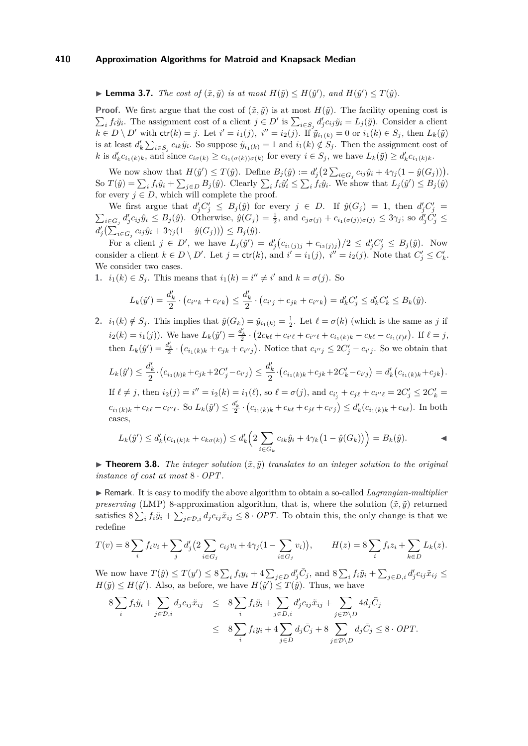<span id="page-7-1"></span>**Example 10.11 Contains 1.7.** *The cost of*  $(\tilde{x}, \tilde{y})$  *is at most*  $H(\tilde{y}) \leq H(\hat{y}')$ *, and*  $H(\hat{y}') \leq T(\hat{y})$ *.* 

**Proof.** We first argue that the cost of  $(\tilde{x}, \tilde{y})$  is at most  $H(\tilde{y})$ . The facility opening cost is  $\sum_i f_i \tilde{y}_i$ . The assignment cost of a client  $j \in D'$  is  $\sum_{i \in S_j} d'_j c_{ij} \tilde{y}_i = L_j(\tilde{y})$ . Consider a client  $k\in D\setminus D'$  with  $\text{ctr}(k) = j$ . Let  $i' = i_1(j)$ ,  $i'' = i_2(j)$ . If  $\tilde{y}_{i_1(k)} = 0$  or  $i_1(k) \in S_j$ , then  $L_k(\tilde{y})$ is at least  $d'_k \sum_{i \in S_j} c_{ik} \tilde{y}_i$ . So suppose  $\tilde{y}_{i_1(k)} = 1$  and  $i_1(k) \notin S_j$ . Then the assignment cost of k is  $d'_k c_{i_1(k)k}$ , and since  $c_{i\sigma(k)} \geq c_{i_1(\sigma(k))\sigma(k)}$  for every  $i \in S_j$ , we have  $L_k(\tilde{y}) \geq d'_k c_{i_1(k)k}$ .

We now show that  $H(\hat{y}') \leq T(\hat{y})$ . Define  $B_j(\hat{y}) := d'_j \big(2 \sum_{i \in G_j} c_{ij} \hat{y}_i + 4 \gamma_j (1 - \hat{y}(G_j))\big)$ . So  $T(\hat{y}) = \sum_i f_i \hat{y}_i + \sum_{j \in D} B_j(\hat{y})$ . Clearly  $\sum_i f_i \hat{y}'_i \leq \sum_i f_i \hat{y}_i$ . We show that  $L_j(\hat{y}') \leq B_j(\hat{y})$ for every  $j \in D$ , which will complete the proof.

We first argue that  $d'_j C'_j \leq B_j(\hat{y})$  for every  $j \in D$ . If  $\hat{y}(G_j) = 1$ , then  $d'_j C'_j =$  $\sum_{i\in G_j} d'_j c_{ij} \hat{y}_i \leq B_j(\hat{y})$ . Otherwise,  $\hat{y}(G_j) = \frac{1}{2}$ , and  $c_{j\sigma(j)} + c_{i_1(\sigma(j))\sigma(j)} \leq 3\gamma_j$ ; so  $d'_j C'_j \leq$  $d'_{j}(\sum_{i \in G_j} c_{ij} \hat{y}_i + 3\gamma_j (1 - \hat{y}(G_j))) \leq B_j(\hat{y}).$ 

For a client  $j \in D'$ , we have  $L_j(\hat{y}') = d'_j(c_{i_1(j)j} + c_{i_2(j)j})/2 \le d'_jC'_j \le B_j(\hat{y})$ . Now consider a client  $k \in D \setminus D'$ . Let  $j = \text{ctr}(k)$ , and  $i' = i_1(j)$ ,  $i'' = i_2(j)$ . Note that  $C'_j \leq C'_k$ . We consider two cases.

**1.**  $i_1(k) \in S_j$ . This means that  $i_1(k) = i'' \neq i'$  and  $k = \sigma(j)$ . So

$$
L_k(\hat{y}') = \frac{d'_k}{2} \cdot (c_{i''k} + c_{i'k}) \le \frac{d'_k}{2} \cdot (c_{i'j} + c_{jk} + c_{i''k}) = d'_k C'_j \le d'_k C'_k \le B_k(\hat{y}).
$$

**2.**  $i_1(k) \notin S_j$ . This implies that  $\hat{y}(G_k) = \hat{y}_{i_1(k)} = \frac{1}{2}$ . Let  $\ell = \sigma(k)$  (which is the same as *j* if  $i_2(k) = i_1(j)$ . We have  $L_k(\hat{y}') = \frac{d'_k}{2} \cdot (2c_{k\ell} + c_{i'\ell} + c_{i''\ell} + c_{i_1(k)k} - c_{k\ell} - c_{i_1(\ell)\ell})$ . If  $\ell = j$ , then  $L_k(\hat{y}') = \frac{d'_k}{2} \cdot (c_{i_1(k)k} + c_{jk} + c_{i'j}).$  Notice that  $c_{i''j} \leq 2C'_j - c_{i'j}$ . So we obtain that  $L_k(\hat{y}') \leq \frac{d'_k}{2}$  $\frac{d'_{k}}{2} \cdot (c_{i_{1}(k)k} + c_{jk} + 2C'_{j} - c_{i'j}) \leq \frac{d'_{k}}{2}$  $\frac{a_k}{2} \cdot (c_{i_1(k)k} + c_{jk} + 2C'_k - c_{i'j}) = d'_k (c_{i_1(k)k} + c_{jk}).$ If  $\ell \neq j$ , then  $i_2(j) = i'' = i_2(k) = i_1(\ell)$ , so  $\ell = \sigma(j)$ , and  $c_{i'_j} + c_{j\ell} + c_{i''\ell} = 2C'_j \leq 2C'_k =$ 

 $c_{i_1(k)k} + c_{k\ell} + c_{i''\ell}$ . So  $L_k(\hat{y}') \leq \frac{d'_k}{2} \cdot (c_{i_1(k)k} + c_{k\ell} + c_{j\ell} + c_{i'j}) \leq d'_k(c_{i_1(k)k} + c_{k\ell})$ . In both cases,

$$
L_k(\hat{y}') \le d'_k(c_{i_1(k)k} + c_{k\sigma(k)}) \le d'_k\left(2\sum_{i \in G_k} c_{ik}\hat{y}_i + 4\gamma_k(1 - \hat{y}(G_k))\right) = B_k(\hat{y}).
$$

<span id="page-7-0"></span> $\triangleright$  **Theorem 3.8.** *The integer solution*  $(\tilde{x}, \tilde{y})$  *translates to an integer solution to the original instance of cost at most* 8 · *OPT.*

I Remark. It is easy to modify the above algorithm to obtain a so-called *Lagrangian-multiplier preserving* (LMP) 8-approximation algorithm, that is, where the solution  $(\tilde{x}, \tilde{y})$  returned satisfies  $8\sum_i f_i\tilde{y}_i + \sum_{j\in\mathcal{D},i} d_jc_{ij}\tilde{x}_{ij} \leq 8 \cdot OPT$ . To obtain this, the only change is that we redefine

$$
T(v) = 8 \sum_{i} f_i v_i + \sum_{j} d'_j \Big( 2 \sum_{i \in G_j} c_{ij} v_i + 4 \gamma_j (1 - \sum_{i \in G_j} v_i) \Big), \qquad H(z) = 8 \sum_{i} f_i z_i + \sum_{k \in D} L_k(z).
$$

We now have  $T(\hat{y}) \leq T(y') \leq 8\sum_i f_i y_i + 4\sum_{j\in D} d'_j \overline{C}_j$ , and  $8\sum_i f_i \tilde{y}_i + \sum_{j\in D,i} d'_j c_{ij} \tilde{x}_{ij} \leq$  $H(\tilde{y}) \leq H(\hat{y}')$ . Also, as before, we have  $H(\hat{y}') \leq T(\hat{y})$ . Thus, we have

$$
8\sum_{i} f_i \tilde{y}_i + \sum_{j \in \mathcal{D}, i} d_j c_{ij} \tilde{x}_{ij} \leq 8\sum_{i} f_i \tilde{y}_i + \sum_{j \in \mathcal{D}, i} d'_j c_{ij} \tilde{x}_{ij} + \sum_{j \in \mathcal{D} \setminus D} 4 d_j \bar{C}_j
$$
  

$$
\leq 8\sum_{i} f_i y_i + 4\sum_{j \in \mathcal{D}} d_j \bar{C}_j + 8\sum_{j \in \mathcal{D} \setminus D} d_j \bar{C}_j \leq 8 \cdot OPT.
$$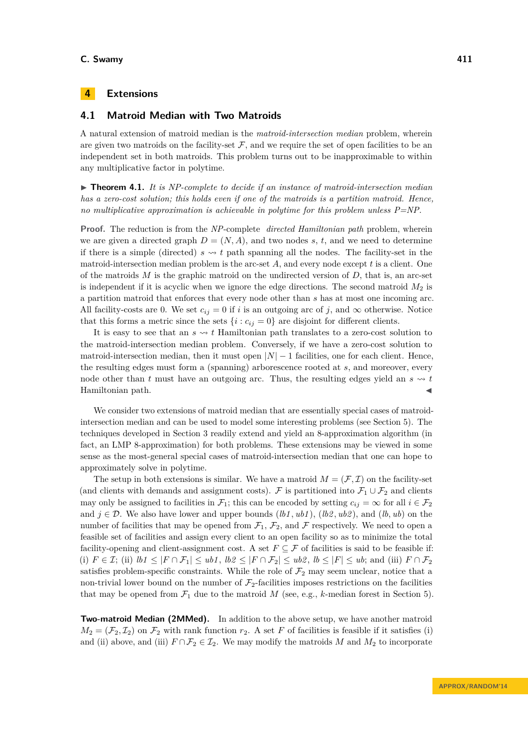# <span id="page-8-0"></span>**4 Extensions**

# <span id="page-8-1"></span>**4.1 Matroid Median with Two Matroids**

A natural extension of matroid median is the *matroid-intersection median* problem, wherein are given two matroids on the facility-set  $F$ , and we require the set of open facilities to be an independent set in both matroids. This problem turns out to be inapproximable to within any multiplicative factor in polytime.

▶ **Theorem 4.1.** *It is NP-complete to decide if an instance of matroid-intersection median has a zero-cost solution; this holds even if one of the matroids is a partition matroid. Hence, no multiplicative approximation is achievable in polytime for this problem unless P=NP.*

**Proof.** The reduction is from the *NP*-complete *directed Hamiltonian path* problem, wherein we are given a directed graph  $D = (N, A)$ , and two nodes *s*, *t*, and we need to determine if there is a simple (directed)  $s \sim t$  path spanning all the nodes. The facility-set in the matroid-intersection median problem is the arc-set *A*, and every node except *t* is a client. One of the matroids *M* is the graphic matroid on the undirected version of *D*, that is, an arc-set is independent if it is acyclic when we ignore the edge directions. The second matroid *M*<sup>2</sup> is a partition matroid that enforces that every node other than *s* has at most one incoming arc. All facility-costs are 0. We set  $c_{ij} = 0$  if *i* is an outgoing arc of *j*, and  $\infty$  otherwise. Notice that this forms a metric since the sets  $\{i : c_{ij} = 0\}$  are disjoint for different clients.

It is easy to see that an  $s \sim t$  Hamiltonian path translates to a zero-cost solution to the matroid-intersection median problem. Conversely, if we have a zero-cost solution to matroid-intersection median, then it must open  $|N| - 1$  facilities, one for each client. Hence, the resulting edges must form a (spanning) arborescence rooted at *s*, and moreover, every node other than *t* must have an outgoing arc. Thus, the resulting edges yield an  $s \sim t$ Hamiltonian path.

We consider two extensions of matroid median that are essentially special cases of matroidintersection median and can be used to model some interesting problems (see Section [5\)](#page-10-1). The techniques developed in Section [3](#page-2-0) readily extend and yield an 8-approximation algorithm (in fact, an LMP 8-approximation) for both problems. These extensions may be viewed in some sense as the most-general special cases of matroid-intersection median that one can hope to approximately solve in polytime.

The setup in both extensions is similar. We have a matroid  $M = (\mathcal{F}, \mathcal{I})$  on the facility-set (and clients with demands and assignment costs). F is partitioned into  $\mathcal{F}_1 \cup \mathcal{F}_2$  and clients may only be assigned to facilities in  $\mathcal{F}_1$ ; this can be encoded by setting  $c_{ij} = \infty$  for all  $i \in \mathcal{F}_2$ and  $j \in \mathcal{D}$ . We also have lower and upper bounds  $(lb1, ub1)$ ,  $(lb2, ub2)$ , and  $(lb, ub)$  on the number of facilities that may be opened from  $\mathcal{F}_1$ ,  $\mathcal{F}_2$ , and  $\mathcal F$  respectively. We need to open a feasible set of facilities and assign every client to an open facility so as to minimize the total facility-opening and client-assignment cost. A set  $F \subseteq \mathcal{F}$  of facilities is said to be feasible if: (i)  $F \in \mathcal{I}$ ; (ii)  $lb1 \leq |F \cap \mathcal{F}_1| \leq ub1$ ,  $lb2 \leq |F \cap \mathcal{F}_2| \leq ub2$ ,  $lb \leq |F| \leq ub$ ; and (iii)  $F \cap \mathcal{F}_2$ satisfies problem-specific constraints. While the role of  $\mathcal{F}_2$  may seem unclear, notice that a non-trivial lower bound on the number of  $\mathcal{F}_2$ -facilities imposes restrictions on the facilities that may be opened from  $\mathcal{F}_1$  due to the matroid M (see, e.g., k-median forest in Section [5\)](#page-10-1).

**Two-matroid Median (2MMed).** In addition to the above setup, we have another matroid  $M_2 = (\mathcal{F}_2, \mathcal{I}_2)$  on  $\mathcal{F}_2$  with rank function  $r_2$ . A set *F* of facilities is feasible if it satisfies (i) and (ii) above, and (iii)  $F \cap \mathcal{F}_2 \in \mathcal{I}_2$ . We may modify the matroids *M* and  $M_2$  to incorporate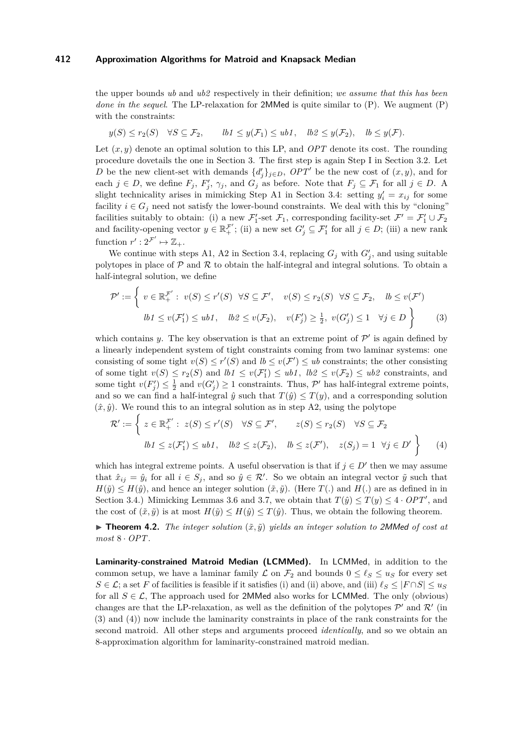the upper bounds *ub* and *ub2* respectively in their definition; *we assume that this has been done in the sequel.* The LP-relaxation for 2MMed is quite similar to [\(P\)](#page-2-1). We augment (P) with the constraints:

$$
y(S) \le r_2(S)
$$
  $\forall S \subseteq \mathcal{F}_2$ ,  $lb1 \le y(\mathcal{F}_1) \le ub1$ ,  $lb2 \le y(\mathcal{F}_2)$ ,  $lb \le y(\mathcal{F})$ .

Let (*x, y*) denote an optimal solution to this LP, and *OPT* denote its cost. The rounding procedure dovetails the one in Section [3.](#page-2-0) The first step is again Step I in Section [3.2.](#page-4-1) Let *D* be the new client-set with demands  $\{d'_j\}_{j\in D}$ ,  $OPT'$  be the new cost of  $(x, y)$ , and for each  $j \in D$ , we define  $F_j$ ,  $F'_j$ ,  $\gamma_j$ , and  $G_j$  as before. Note that  $F_j \subseteq \mathcal{F}_1$  for all  $j \in D$ . A slight technicality arises in mimicking Step A1 in Section [3.4:](#page-5-0) setting  $y_i' = x_{ij}$  for some facility  $i \in G_j$  need not satisfy the lower-bound constraints. We deal with this by "cloning" facilities suitably to obtain: (i) a new  $\mathcal{F}_1'$ -set  $\mathcal{F}_1$ , corresponding facility-set  $\mathcal{F}' = \mathcal{F}_1' \cup \mathcal{F}_2$ and facility-opening vector  $y \in \mathbb{R}_+^{\mathcal{F}'}$ ; (ii) a new set  $G'_j \subseteq \mathcal{F}'_1$  for all  $j \in D$ ; (iii) a new rank function  $r': 2^{\mathcal{F}'} \mapsto \mathbb{Z}_+$ .

We continue with steps A1, A2 in Section [3.4,](#page-5-0) replacing  $G_j$  with  $G'_j$ , and using suitable polytopes in place of  $P$  and  $R$  to obtain the half-integral and integral solutions. To obtain a half-integral solution, we define

<span id="page-9-0"></span>
$$
\mathcal{P}' := \left\{ v \in \mathbb{R}_+^{\mathcal{F}'} : v(S) \le r'(S) \quad \forall S \subseteq \mathcal{F}', \quad v(S) \le r_2(S) \quad \forall S \subseteq \mathcal{F}_2, \quad lb \le v(\mathcal{F}') \le lb \le v(\mathcal{F}_1') \le ub1, \quad lb2 \le v(\mathcal{F}_2), \quad v(F_j') \ge \frac{1}{2}, \ v(G_j') \le 1 \quad \forall j \in D \right\} \tag{3}
$$

which contains *y*. The key observation is that an extreme point of  $\mathcal{P}'$  is again defined by a linearly independent system of tight constraints coming from two laminar systems: one consisting of some tight  $v(S) \leq r'(S)$  and  $lb \leq v(\mathcal{F}') \leq ub$  constraints; the other consisting of some tight  $v(S) \leq r_2(S)$  and  $lb1 \leq v(\mathcal{F}_1') \leq ub1$ ,  $lb2 \leq v(\mathcal{F}_2) \leq ub2$  constraints, and some tight  $v(F'_j) \leq \frac{1}{2}$  and  $v(G'_j) \geq 1$  constraints. Thus,  $\mathcal{P}'$  has half-integral extreme points, and so we can find a half-integral  $\hat{y}$  such that  $T(\hat{y}) \leq T(y)$ , and a corresponding solution  $(\hat{x}, \hat{y})$ . We round this to an integral solution as in step A2, using the polytope

<span id="page-9-1"></span>
$$
\mathcal{R}' := \left\{ z \in \mathbb{R}_+^{\mathcal{F}'} : z(S) \le r'(S) \quad \forall S \subseteq \mathcal{F}', \qquad z(S) \le r_2(S) \quad \forall S \subseteq \mathcal{F}_2 \right\}
$$
  

$$
lb1 \le z(\mathcal{F}'_1) \le ub1, \quad lb2 \le z(\mathcal{F}_2), \quad lb \le z(\mathcal{F}'), \quad z(S_j) = 1 \quad \forall j \in D' \right\}
$$
(4)

which has integral extreme points. A useful observation is that if  $j \in D'$  then we may assume that  $\hat{x}_{ij} = \hat{y}_i$  for all  $i \in S_j$ , and so  $\hat{y} \in \mathcal{R}'$ . So we obtain an integral vector  $\tilde{y}$  such that  $H(\tilde{y}) \leq H(\hat{y})$ , and hence an integer solution  $(\tilde{x}, \tilde{y})$ . (Here *T*(*.*) and *H*(*.*) are as defined in in Section [3.4.](#page-5-0)) Mimicking Lemmas [3.6](#page-6-0) and [3.7,](#page-7-1) we obtain that  $T(\hat{y}) \leq T(y) \leq 4 \cdot OPT'$ , and the cost of  $(\tilde{x}, \tilde{y})$  is at most  $H(\tilde{y}) \leq H(\hat{y}) \leq T(\hat{y})$ . Thus, we obtain the following theorem.

 $\triangleright$  **Theorem 4.2.** *The integer solution*  $(\tilde{x}, \tilde{y})$  *yields an integer solution to* 2MMed *of cost at most* 8 · *OPT.*

**Laminarity-constrained Matroid Median (LCMMed).** In LCMMed, in addition to the common setup, we have a laminar family  $\mathcal L$  on  $\mathcal F_2$  and bounds  $0 \leq \ell_S \leq u_S$  for every set  $S \in \mathcal{L}$ ; a set *F* of facilities is feasible if it satisfies (i) and (ii) above, and (iii)  $\ell_S \leq |F \cap S| \leq u_S$ for all  $S \in \mathcal{L}$ , The approach used for 2MMed also works for LCMMed. The only (obvious) changes are that the LP-relaxation, as well as the definition of the polytopes  $\mathcal{P}'$  and  $\mathcal{R}'$  (in [\(3\)](#page-9-0) and [\(4\)](#page-9-1)) now include the laminarity constraints in place of the rank constraints for the second matroid. All other steps and arguments proceed *identically*, and so we obtain an 8-approximation algorithm for laminarity-constrained matroid median.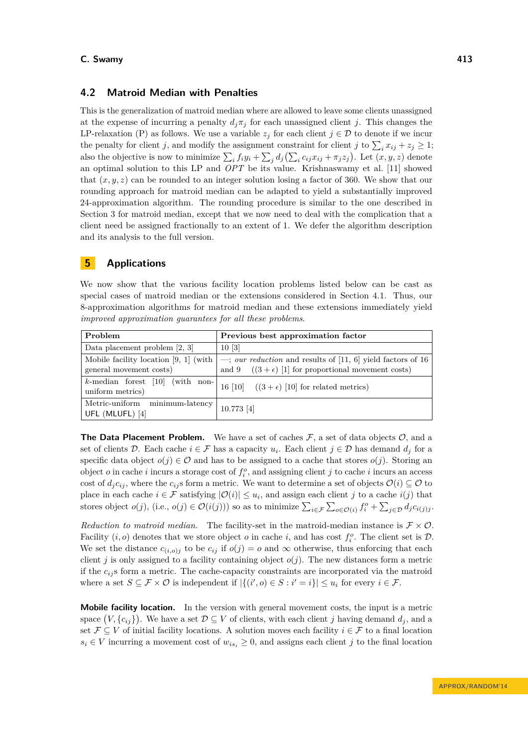# <span id="page-10-0"></span>**4.2 Matroid Median with Penalties**

This is the generalization of matroid median where are allowed to leave some clients unassigned at the expense of incurring a penalty  $d_j \pi_j$  for each unassigned client *j*. This changes the LP-relaxation [\(P\)](#page-2-1) as follows. We use a variable  $z_j$  for each client  $j \in \mathcal{D}$  to denote if we incur the penalty for client *j*, and modify the assignment constraint for client *j* to  $\sum_i x_{ij} + z_j \ge 1$ ; also the objective is now to minimize  $\sum_i f_i y_i + \sum_j d_j (\sum_i c_{ij} x_{ij} + \pi_j z_j)$ . Let  $(x, y, z)$  denote an optimal solution to this LP and *OPT* be its value. Krishnaswamy et al. [\[11\]](#page-15-0) showed that  $(x, y, z)$  can be rounded to an integer solution losing a factor of 360. We show that our rounding approach for matroid median can be adapted to yield a substantially improved 24-approximation algorithm. The rounding procedure is similar to the one described in Section [3](#page-2-0) for matroid median, except that we now need to deal with the complication that a client need be assigned fractionally to an extent of 1. We defer the algorithm description and its analysis to the full version.

# <span id="page-10-1"></span>**5 Applications**

We now show that the various facility location problems listed below can be cast as special cases of matroid median or the extensions considered in Section [4.1.](#page-8-1) Thus, our 8-approximation algorithms for matroid median and these extensions immediately yield *improved approximation guarantees for all these problems*.

| Problem                                                | Previous best approximation factor                                              |
|--------------------------------------------------------|---------------------------------------------------------------------------------|
| Data placement problem $[2, 3]$                        | 10[3]                                                                           |
| Mobile facility location $[9, 1]$ (with                | $\rightarrow$ ; <i>our reduction</i> and results of [11, 6] yield factors of 16 |
| general movement costs)                                | and 9 $((3 + \epsilon) [1]$ for proportional movement costs)                    |
| $k$ -median forest [10] (with non-<br>uniform metrics) | 16 [10] $((3 + \epsilon)$ [10] for related metrics)                             |
| Metric-uniform minimum-latency  <br>UFL (MLUFL) [4]    | $10.773$ [4]                                                                    |

**The Data Placement Problem.** We have a set of caches  $\mathcal{F}$ , a set of data objects  $\mathcal{O}$ , and a set of clients D. Each cache  $i \in \mathcal{F}$  has a capacity  $u_i$ . Each client  $j \in \mathcal{D}$  has demand  $d_j$  for a specific data object  $o(j) \in \mathcal{O}$  and has to be assigned to a cache that stores  $o(j)$ . Storing an object *o* in cache *i* incurs a storage cost of  $f_i^o$ , and assigning client *j* to cache *i* incurs an access cost of  $d_j c_{ij}$ , where the  $c_{ij}$ s form a metric. We want to determine a set of objects  $\mathcal{O}(i) \subseteq \mathcal{O}$  to place in each cache  $i \in \mathcal{F}$  satisfying  $|\mathcal{O}(i)| \leq u_i$ , and assign each client *j* to a cache *i*(*j*) that stores object  $o(j)$ , (i.e.,  $o(j) \in \mathcal{O}(i(j))$ ) so as to minimize  $\sum_{i \in \mathcal{F}} \sum_{o \in \mathcal{O}(i)} f_i^o + \sum_{j \in \mathcal{D}} d_j c_{i(j)j}$ .

*Reduction to matroid median.* The facility-set in the matroid-median instance is  $\mathcal{F} \times \mathcal{O}$ . Facility  $(i, o)$  denotes that we store object *o* in cache *i*, and has cost  $f_i^o$ . The client set is  $D$ . We set the distance  $c_{(i,o)}$  to be  $c_{ij}$  if  $o(j) = o$  and  $\infty$  otherwise, thus enforcing that each client *j* is only assigned to a facility containing object  $o(j)$ . The new distances form a metric if the  $c_{ij}$  s form a metric. The cache-capacity constraints are incorporated via the matroid where a set  $S \subseteq \mathcal{F} \times \mathcal{O}$  is independent if  $|\{(i', o) \in S : i' = i\}| \leq u_i$  for every  $i \in \mathcal{F}$ .

**Mobile facility location.** In the version with general movement costs, the input is a metric space  $(V, \{c_{ij}\})$ . We have a set  $\mathcal{D} \subseteq V$  of clients, with each client *j* having demand  $d_j$ , and a set  $\mathcal{F} \subseteq V$  of initial facility locations. A solution moves each facility  $i \in \mathcal{F}$  to a final location  $s_i \in V$  incurring a movement cost of  $w_{is_i} \geq 0$ , and assigns each client *j* to the final location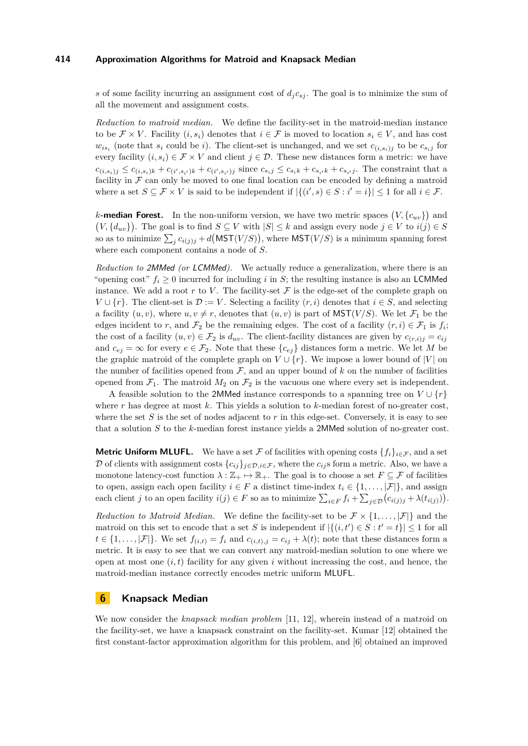*s* of some facility incurring an assignment cost of  $d_i c_{si}$ . The goal is to minimize the sum of all the movement and assignment costs.

*Reduction to matroid median.* We define the facility-set in the matroid-median instance to be  $\mathcal{F} \times V$ . Facility  $(i, s_i)$  denotes that  $i \in \mathcal{F}$  is moved to location  $s_i \in V$ , and has cost  $w_{is_i}$  (note that  $s_i$  could be *i*). The client-set is unchanged, and we set  $c_{(i,s_i)j}$  to be  $c_{s_i j}$  for every facility  $(i, s_i) \in \mathcal{F} \times V$  and client  $j \in \mathcal{D}$ . These new distances form a metric: we have  $c_{(i,s_i)j} \leq c_{(i,s_i)k} + c_{(i',s_{i'})k} + c_{(i',s_{i'})j}$  since  $c_{s_i j} \leq c_{s_i k} + c_{s_{i'} k} + c_{s_{i'} j}$ . The constraint that a facility in  $\mathcal F$  can only be moved to one final location can be encoded by defining a matroid where a set  $S \subseteq \mathcal{F} \times V$  is said to be independent if  $|\{(i', s) \in S : i' = i\}| \leq 1$  for all  $i \in \mathcal{F}$ .

*k***-median Forest.** In the non-uniform version, we have two metric spaces  $(V, \{c_{uv}\})$  and  $(V, \{d_{uv}\})$ . The goal is to find  $S \subseteq V$  with  $|S| \leq k$  and assign every node  $j \in V$  to  $i(j) \in S$ so as to minimize  $\sum_j c_{i(j)j} + d(MST(V/S)),$  where  $MST(V/S)$  is a minimum spanning forest where each component contains a node of *S*.

*Reduction to* 2MMed *(or* LCMMed*).* We actually reduce a generalization, where there is an "opening cost"  $f_i \geq 0$  incurred for including *i* in *S*; the resulting instance is also an LCMMed instance. We add a root  $r$  to  $V$ . The facility-set  $\mathcal F$  is the edge-set of the complete graph on  $V \cup \{r\}$ . The client-set is  $\mathcal{D} := V$ . Selecting a facility  $(r, i)$  denotes that  $i \in S$ , and selecting a facility  $(u, v)$ , where  $u, v \neq r$ , denotes that  $(u, v)$  is part of  $MST(V/S)$ . We let  $\mathcal{F}_1$  be the edges incident to *r*, and  $\mathcal{F}_2$  be the remaining edges. The cost of a facility  $(r, i) \in \mathcal{F}_1$  is  $f_i$ ; the cost of a facility  $(u, v) \in \mathcal{F}_2$  is  $d_{uv}$ . The client-facility distances are given by  $c_{(r,i)j} = c_{ij}$ and  $c_{ei} = \infty$  for every  $e \in \mathcal{F}_2$ . Note that these  $\{c_{ej}\}\$  distances form a metric. We let M be the graphic matroid of the complete graph on  $V \cup \{r\}$ . We impose a lower bound of |*V*| on the number of facilities opened from  $F$ , and an upper bound of  $k$  on the number of facilities opened from  $\mathcal{F}_1$ . The matroid  $M_2$  on  $\mathcal{F}_2$  is the vacuous one where every set is independent.

A feasible solution to the 2MMed instance corresponds to a spanning tree on  $V \cup \{r\}$ where *r* has degree at most *k*. This yields a solution to *k*-median forest of no-greater cost, where the set  $S$  is the set of nodes adjacent to  $r$  in this edge-set. Conversely, it is easy to see that a solution *S* to the *k*-median forest instance yields a 2MMed solution of no-greater cost.

**Metric Uniform MLUFL.** We have a set F of facilities with opening costs  $\{f_i\}_{i\in\mathcal{F}}$ , and a set D of clients with assignment costs  $\{c_{ij}\}_{i \in \mathcal{D}, i \in \mathcal{F}}$ , where the  $c_{ij}$  s form a metric. Also, we have a monotone latency-cost function  $\lambda : \mathbb{Z}_+ \mapsto \mathbb{R}_+$ . The goal is to choose a set  $F \subseteq \mathcal{F}$  of facilities to open, assign each open facility  $i \in F$  a distinct time-index  $t_i \in \{1, ..., |\mathcal{F}|\}$ , and assign each client *j* to an open facility  $i(j) \in F$  so as to minimize  $\sum_{i \in F} f_i + \sum_{j \in D} (c_{i(j)j} + \lambda(t_{i(j)})).$ 

*Reduction to Matroid Median.* We define the facility-set to be  $\mathcal{F} \times \{1, \ldots, |\mathcal{F}|\}$  and the matroid on this set to encode that a set *S* is independent if  $|\{(i, t') \in S : t' = t\}| \leq 1$  for all  $t \in \{1, \ldots, |\mathcal{F}|\}$ . We set  $f_{(i,t)} = f_i$  and  $c_{(i,t),j} = c_{ij} + \lambda(t)$ ; note that these distances form a metric. It is easy to see that we can convert any matroid-median solution to one where we open at most one  $(i, t)$  facility for any given  $i$  without increasing the cost, and hence, the matroid-median instance correctly encodes metric uniform MLUFL.

# <span id="page-11-0"></span>**6 Knapsack Median**

We now consider the *knapsack median problem* [\[11,](#page-15-0) [12\]](#page-15-8), wherein instead of a matroid on the facility-set, we have a knapsack constraint on the facility-set. Kumar [\[12\]](#page-15-8) obtained the first constant-factor approximation algorithm for this problem, and [\[6\]](#page-15-10) obtained an improved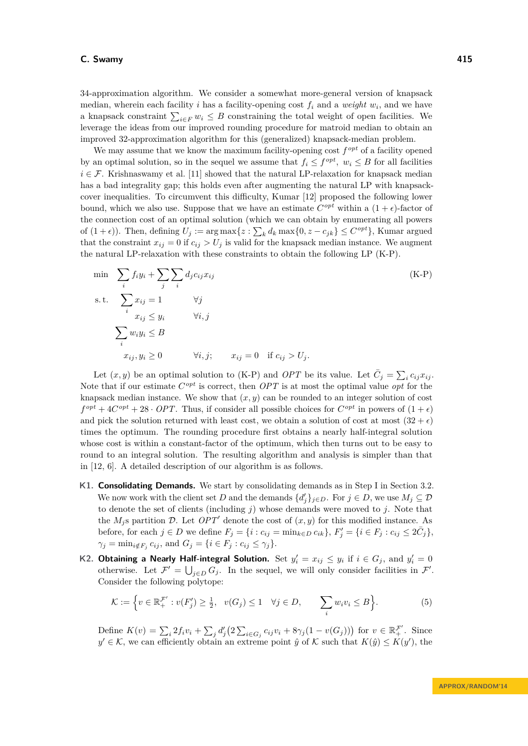34-approximation algorithm. We consider a somewhat more-general version of knapsack median, wherein each facility *i* has a facility-opening cost  $f_i$  and a *weight*  $w_i$ , and we have a knapsack constraint  $\sum_{i \in F} w_i \leq B$  constraining the total weight of open facilities. We leverage the ideas from our improved rounding procedure for matroid median to obtain an improved 32-approximation algorithm for this (generalized) knapsack-median problem.

We may assume that we know the maximum facility-opening cost  $f^{opt}$  of a facility opened by an optimal solution, so in the sequel we assume that  $f_i \leq f^{opt}$ ,  $w_i \leq B$  for all facilities  $i \in \mathcal{F}$ . Krishnaswamy et al. [\[11\]](#page-15-0) showed that the natural LP-relaxation for knapsack median has a bad integrality gap; this holds even after augmenting the natural LP with knapsackcover inequalities. To circumvent this difficulty, Kumar [\[12\]](#page-15-8) proposed the following lower bound, which we also use. Suppose that we have an estimate  $C^{opt}$  within a  $(1 + \epsilon)$ -factor of the connection cost of an optimal solution (which we can obtain by enumerating all powers of  $(1 + \epsilon)$ ). Then, defining  $U_j := \arg \max\{z : \sum_k d_k \max\{0, z - c_{jk}\} \leq C^{opt}\}$ , Kumar argued that the constraint  $x_{ij} = 0$  if  $c_{ij} > U_j$  is valid for the knapsack median instance. We augment the natural LP-relaxation with these constraints to obtain the following LP [\(K-P\)](#page-12-0).

<span id="page-12-0"></span>
$$
\min \sum_{i} f_i y_i + \sum_{j} \sum_{i} d_j c_{ij} x_{ij}
$$
\n
$$
\text{s.t.} \quad \sum_{i} x_{ij} = 1 \qquad \forall j
$$
\n
$$
x_{ij} \le y_i \qquad \forall i, j
$$
\n
$$
\sum_{i} w_i y_i \le B
$$
\n
$$
x_{ij}, y_i \ge 0 \qquad \forall i, j; \qquad x_{ij} = 0 \quad \text{if } c_{ij} > U_j.
$$
\n
$$
(K-P)
$$

Let  $(x, y)$  be an optimal solution to [\(K-P\)](#page-12-0) and *OPT* be its value. Let  $\bar{C}_j = \sum_i c_{ij} x_{ij}$ . Note that if our estimate *C opt* is correct, then *OPT* is at most the optimal value *opt* for the knapsack median instance. We show that  $(x, y)$  can be rounded to an integer solution of cost  $f^{opt} + 4C^{opt} + 28 \cdot OPT$ . Thus, if consider all possible choices for  $C^{opt}$  in powers of  $(1 + \epsilon)$ and pick the solution returned with least cost, we obtain a solution of cost at most  $(32 + \epsilon)$ times the optimum. The rounding procedure first obtains a nearly half-integral solution whose cost is within a constant-factor of the optimum, which then turns out to be easy to round to an integral solution. The resulting algorithm and analysis is simpler than that in [\[12,](#page-15-8) [6\]](#page-15-10). A detailed description of our algorithm is as follows.

- **K1. Consolidating Demands.** We start by consolidating demands as in Step I in Section [3.2.](#page-4-1) We now work with the client set *D* and the demands  $\{d'_j\}_{j\in D}$ . For  $j \in D$ , we use  $M_j \subseteq \mathcal{D}$ to denote the set of clients (including *j*) whose demands were moved to *j*. Note that the  $M_j$ s partition  $\mathcal{D}$ . Let  $OPT'$  denote the cost of  $(x, y)$  for this modified instance. As before, for each  $j \in D$  we define  $F_j = \{i : c_{ij} = \min_{k \in D} c_{ik}\}, F'_j = \{i \in F_j : c_{ij} \leq 2\overline{C}_j\},\$  $\gamma_j = \min_{i \notin F_j} c_{ij}$ , and  $G_j = \{i \in F_j : c_{ij} \le \gamma_j\}.$
- **K2. Obtaining a Nearly Half-integral Solution.** Set  $y'_i = x_{ij} \leq y_i$  if  $i \in G_j$ , and  $y'_i = 0$ otherwise. Let  $\mathcal{F}' = \bigcup_{j \in D} G_j$ . In the sequel, we will only consider facilities in  $\mathcal{F}'$ . Consider the following polytope:

$$
\mathcal{K} := \left\{ v \in \mathbb{R}_+^{\mathcal{F}'} : v(F'_j) \ge \frac{1}{2}, \ v(G_j) \le 1 \quad \forall j \in D, \sum_i w_i v_i \le B \right\}.
$$
 (5)

Define  $K(v) = \sum_i 2f_i v_i + \sum_j d'_j (2 \sum_{i \in G_j} c_{ij} v_i + 8\gamma_j (1 - v(G_j)))$  for  $v \in \mathbb{R}_+^{\mathcal{F}'}$ . Since  $y' \in \mathcal{K}$ , we can efficiently obtain an extreme point  $\hat{y}$  of  $\mathcal{K}$  such that  $K(\hat{y}) \leq K(y')$ , the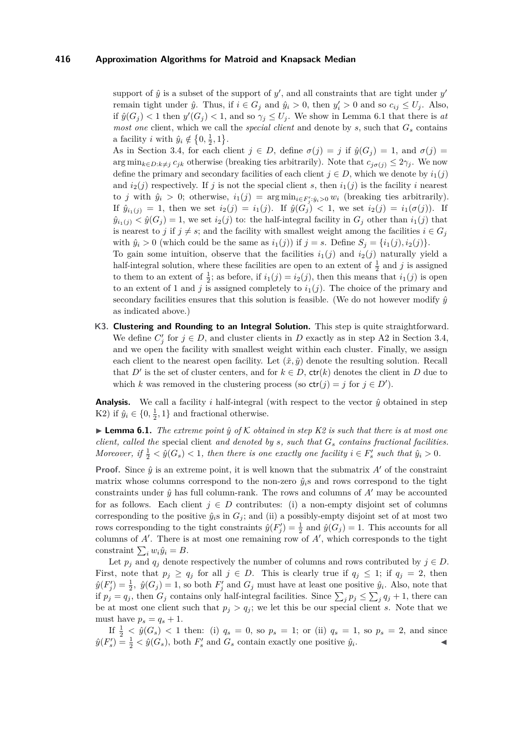support of  $\hat{y}$  is a subset of the support of  $y'$ , and all constraints that are tight under  $y'$ remain tight under  $\hat{y}$ . Thus, if  $i \in G_j$  and  $\hat{y}_i > 0$ , then  $y'_i > 0$  and so  $c_{ij} \leq U_j$ . Also, if  $\hat{y}(G_j) < 1$  then  $y'(G_j) < 1$ , and so  $\gamma_j \leq U_j$ . We show in Lemma [6.1](#page-13-0) that there is *at most one* client, which we call the *special client* and denote by *s*, such that *G<sup>s</sup>* contains a facility *i* with  $\hat{y}_i \notin \{0, \frac{1}{2}, 1\}.$ 

As in Section [3.4,](#page-5-0) for each client  $j \in D$ , define  $\sigma(j) = j$  if  $\hat{y}(G_j) = 1$ , and  $\sigma(j) =$ arg min<sub>k∈</sub> $D: k \neq j$   $c_{jk}$  otherwise (breaking ties arbitrarily). Note that  $c_{i\sigma(j)} \leq 2\gamma_j$ . We now define the primary and secondary facilities of each client  $j \in D$ , which we denote by  $i_1(j)$ and  $i_2(j)$  respectively. If *j* is not the special client *s*, then  $i_1(j)$  is the facility *i* nearest to *j* with  $\hat{y}_i > 0$ ; otherwise,  $i_1(j) = \arg \min_{i \in F'_j : \hat{y}_i > 0} w_i$  (breaking ties arbitrarily). If  $\hat{y}_{i_1(j)} = 1$ , then we set  $i_2(j) = i_1(j)$ . If  $\hat{y}(G_j) < 1$ , we set  $i_2(j) = i_1(\sigma(j))$ . If  $\hat{y}_{i_1(j)} < \hat{y}(G_j) = 1$ , we set  $i_2(j)$  to: the half-integral facility in  $G_j$  other than  $i_1(j)$  that is nearest to *j* if  $j \neq s$ ; and the facility with smallest weight among the facilities  $i \in G_j$ with  $\hat{y}_i > 0$  (which could be the same as  $i_1(j)$ ) if  $j = s$ . Define  $S_j = \{i_1(j), i_2(j)\}.$ 

To gain some intuition, observe that the facilities  $i_1(j)$  and  $i_2(j)$  naturally yield a half-integral solution, where these facilities are open to an extent of  $\frac{1}{2}$  and *j* is assigned to them to an extent of  $\frac{1}{2}$ ; as before, if  $i_1(j) = i_2(j)$ , then this means that  $i_1(j)$  is open to an extent of 1 and *j* is assigned completely to  $i_1(j)$ . The choice of the primary and secondary facilities ensures that this solution is feasible. (We do not however modify  $\hat{y}$ as indicated above.)

**K3. Clustering and Rounding to an Integral Solution.** This step is quite straightforward. We define  $C'_{j}$  for  $j \in D$ , and cluster clients in *D* exactly as in step A2 in Section [3.4,](#page-5-0) and we open the facility with smallest weight within each cluster. Finally, we assign each client to the nearest open facility. Let  $(\tilde{x}, \tilde{y})$  denote the resulting solution. Recall that *D'* is the set of cluster centers, and for  $k \in D$ ,  $\text{ctr}(k)$  denotes the client in *D* due to which *k* was removed in the clustering process (so  $\text{ctr}(j) = j$  for  $j \in D'$ ).

**Analysis.** We call a facility *i* half-integral (with respect to the vector  $\hat{y}$  obtained in step K2) if  $\hat{y}_i \in \{0, \frac{1}{2}, 1\}$  and fractional otherwise.

<span id="page-13-0"></span> $\blacktriangleright$  **Lemma 6.1.** *The extreme point*  $\hat{y}$  *of* K *obtained in step K2 is such that there is at most one client, called the* special client *and denoted by s, such that G<sup>s</sup> contains fractional facilities. Moreover,* if  $\frac{1}{2} < \hat{y}(G_s) < 1$ , then there is one exactly one facility  $i \in F'_s$  such that  $\hat{y}_i > 0$ .

**Proof.** Since  $\hat{y}$  is an extreme point, it is well known that the submatrix  $A'$  of the constraint matrix whose columns correspond to the non-zero  $\hat{y}_i$ s and rows correspond to the tight constraints under  $\hat{y}$  has full column-rank. The rows and columns of  $A'$  may be accounted for as follows. Each client  $j \in D$  contributes: (i) a non-empty disjoint set of columns corresponding to the positive  $\hat{y}_i$ <sup>s</sup> in  $G_j$ ; and (ii) a possibly-empty disjoint set of at most two rows corresponding to the tight constraints  $\hat{y}(F'_j) = \frac{1}{2}$  and  $\hat{y}(G_j) = 1$ . This accounts for all columns of  $A'$ . There is at most one remaining row of  $A'$ , which corresponds to the tight constraint  $\sum_i w_i \hat{y}_i = B$ .

Let  $p_j$  and  $q_j$  denote respectively the number of columns and rows contributed by  $j \in D$ . First, note that  $p_j \ge q_j$  for all  $j \in D$ . This is clearly true if  $q_j \le 1$ ; if  $q_j = 2$ , then  $\hat{y}(F'_j) = \frac{1}{2}$ ,  $\hat{y}(G_j) = 1$ , so both  $F'_j$  and  $G_j$  must have at least one positive  $\hat{y}_i$ . Also, note that if  $p_j = q_j$ , then  $G_j$  contains only half-integral facilities. Since  $\sum_j p_j \leq \sum_j q_j + 1$ , there can be at most one client such that  $p_j > q_j$ ; we let this be our special client *s*. Note that we must have  $p_s = q_s + 1$ .

If  $\frac{1}{2}$  <  $\hat{y}(G_s)$  < 1 then: (i)  $q_s = 0$ , so  $p_s = 1$ ; or (ii)  $q_s = 1$ , so  $p_s = 2$ , and since  $\hat{y}(F_s') = \frac{1}{2} < \hat{y}(G_s)$ , both  $F_s'$  and  $G_s$  contain exactly one positive  $\hat{y}_i$ . John J. J. J. J.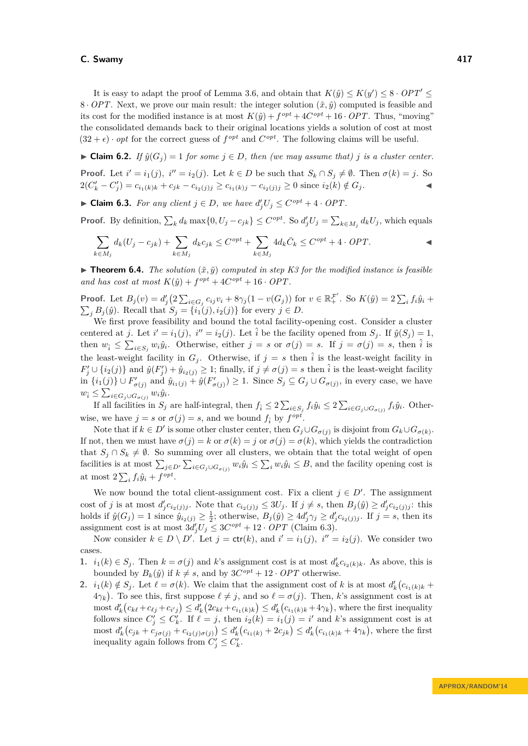It is easy to adapt the proof of Lemma [3.6,](#page-6-0) and obtain that  $K(\hat{y}) \leq K(y') \leq 8 \cdot OPT' \leq$ 8 · *OPT*. Next, we prove our main result: the integer solution  $(\tilde{x}, \tilde{y})$  computed is feasible and its cost for the modified instance is at most  $K(\hat{y}) + f^{opt} + 4C^{opt} + 16 \cdot OPT$ . Thus, "moving" the consolidated demands back to their original locations yields a solution of cost at most  $(32 + \epsilon) \cdot opt$  for the correct guess of  $f^{opt}$  and  $C^{opt}$ . The following claims will be useful.

<span id="page-14-1"></span>► Claim 6.2. *If*  $\hat{y}(G_i) = 1$  *for some*  $j \in D$ *, then (we may assume that) j is a cluster center.* **Proof.** Let  $i' = i_1(j)$ ,  $i'' = i_2(j)$ . Let  $k \in D$  be such that  $S_k \cap S_j \neq \emptyset$ . Then  $\sigma(k) = j$ . So  $2(C'_k - C'_j) = c_{i_1(k)k} + c_{jk} - c_{i_2(j)j} \ge c_{i_1(k)j} - c_{i_2(j)j} \ge 0$  since  $i_2(k) \notin G_j$ .

<span id="page-14-0"></span>► **Claim 6.3.** *For any client*  $j \in D$ *, we have*  $d'_jU_j \leq C^{opt} + 4 \cdot OPT$ .

**Proof.** By definition,  $\sum_k d_k \max\{0, U_j - c_{jk}\} \leq C^{opt}$ . So  $d'_j U_j = \sum_{k \in M_j} d_k U_j$ , which equals

$$
\sum_{k \in M_j} d_k (U_j - c_{jk}) + \sum_{k \in M_j} d_k c_{jk} \le C^{opt} + \sum_{k \in M_j} 4d_k \overline{C}_k \le C^{opt} + 4 \cdot OPT.
$$

**In Theorem 6.4.** *The solution*  $(\tilde{x}, \tilde{y})$  *computed in step K3 for the modified instance is feasible and has cost at most*  $K(\hat{y}) + f^{opt} + 4C^{opt} + 16 \cdot OPT$ .

**Proof.** Let  $B_j(v) = d'_j(2\sum_{i\in G_j} c_{ij}v_i + 8\gamma_j(1 - v(G_j))$  for  $v \in \mathbb{R}_+^{\mathcal{F}'}$ . So  $K(\hat{y}) = 2\sum_i f_i \hat{y}_i +$  $\sum_{j} B_j(\hat{y})$ . Recall that  $S_j = \{i_1(j), i_2(j)\}$  for every  $j \in D$ .

We first prove feasibility and bound the total facility-opening cost. Consider a cluster centered at *j*. Let  $i' = i_1(j)$ ,  $i'' = i_2(j)$ . Let  $\hat{i}$  be the facility opened from  $S_j$ . If  $\hat{y}(S_j) = 1$ , then  $w_i \le \sum_{i \in S_j} w_i \hat{y}_i$ . Otherwise, either  $j = s$  or  $\sigma(j) = s$ . If  $j = \sigma(j) = s$ , then  $\hat{i}$  is the least-weight facility in  $G_j$ . Otherwise, if  $j = s$  then  $\hat{i}$  is the least-weight facility in  $F'_j \cup \{i_2(j)\}\$  and  $\hat{y}(F'_j) + \hat{y}_{i_2(j)} \geq 1$ ; finally, if  $j \neq \sigma(j) = s$  then  $\hat{i}$  is the least-weight facility in  $\{i_1(j)\}\cup F'_{\sigma(j)}$  and  $\hat{y}_{i_1(j)} + \hat{y}(F'_{\sigma(j)}) \geq 1$ . Since  $S_j \subseteq G_j \cup G_{\sigma(j)}$ , in every case, we have  $w_{\hat{i}} \leq \sum_{i \in G_j \cup G_{\sigma(j)}} w_i \hat{y}_i.$ 

If all facilities in  $S_j$  are half-integral, then  $f_i \leq 2\sum_{i \in S_j} f_i \hat{y}_i \leq 2\sum_{i \in G_j \cup G_{\sigma(j)}} f_i \hat{y}_i$ . Otherwise, we have  $j = s$  or  $\sigma(j) = s$ , and we bound  $f_i$  by  $f^{opt}$ .

Note that if  $k \in D'$  is some other cluster center, then  $G_j \cup G_{\sigma(j)}$  is disjoint from  $G_k \cup G_{\sigma(k)}$ . If not, then we must have  $\sigma(j) = k$  or  $\sigma(k) = j$  or  $\sigma(j) = \sigma(k)$ , which yields the contradiction that  $S_j \cap S_k \neq \emptyset$ . So summing over all clusters, we obtain that the total weight of open facilities is at most  $\sum_{j\in D'}\sum_{i\in G_j\cup G_{\sigma(j)}}w_i\hat{y}_i \leq \sum_i w_i\hat{y}_i \leq B$ , and the facility opening cost is at most  $2\sum_i f_i \hat{y}_i + f^{opt}$ .

We now bound the total client-assignment cost. Fix a client  $j \in D'$ . The assignment cost of j is at most  $d'_jc_{i_2(j)j}$ . Note that  $c_{i_2(j)j} \leq 3U_j$ . If  $j \neq s$ , then  $B_j(\hat{y}) \geq d'_jc_{i_2(j)j}$ : this holds if  $\hat{y}(G_j) = 1$  since  $\hat{y}_{i_2(j)} \ge \frac{1}{2}$ ; otherwise,  $B_j(\hat{y}) \ge 4d'_j \gamma_j \ge d'_j c_{i_2(j)j}$ . If  $j = s$ , then its assignment cost is at most  $3d'_{j}U_{j} \leq 3C^{opt} + 12 \cdot OPT$  (Claim [6.3\)](#page-14-0).

Now consider  $k \in D \setminus D'$ . Let  $j = \text{ctr}(k)$ , and  $i' = i_1(j)$ ,  $i'' = i_2(j)$ . We consider two cases.

- **1.**  $i_1(k) \in S_j$ . Then  $k = \sigma(j)$  and  $k$ 's assignment cost is at most  $d'_k c_{i_2(k)k}$ . As above, this is bounded by  $B_k(\hat{y})$  if  $k \neq s$ , and by  $3C^{opt} + 12 \cdot OPT$  otherwise.
- **2.**  $i_1(k) \notin S_j$ . Let  $\ell = \sigma(k)$ . We claim that the assignment cost of *k* is at most  $d'_k(c_{i_1(k)k} + c_{i_2(k)k})$  $4\gamma_k$ ). To see this, first suppose  $\ell \neq j$ , and so  $\ell = \sigma(j)$ . Then, *k*'s assignment cost is at most  $d'_{k}(c_{k\ell}+c_{\ell j}+c_{i'j}) \leq d'_{k}(2c_{k\ell}+c_{i_1(k)k}) \leq d'_{k}(c_{i_1(k)k}+4\gamma_{k}),$  where the first inequality follows since  $C'_j \leq C'_k$ . If  $\ell = j$ , then  $i_2(k) = i_1(j) = i'$  and k's assignment cost is at most  $d'_{k}(c_{jk} + c_{j\sigma(j)} + c_{i_2(j)\sigma(j)}) \leq d'_{k}(c_{i_1(k)} + 2c_{jk}) \leq d'_{k}(c_{i_1(k)k} + 4\gamma_k)$ , where the first inequality again follows from  $C'_j \leq C'_k$ .